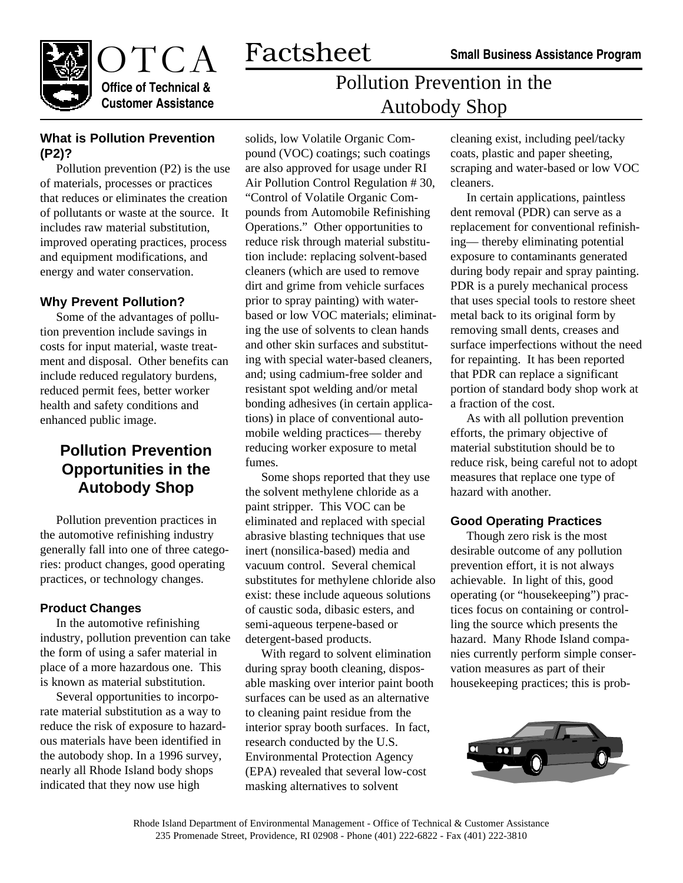Pollution Prevention in the

Autobody Shop



**Office of Technical & Customer Assistance**

### **What is Pollution Prevention (P2)?**

Pollution prevention (P2) is the use of materials, processes or practices that reduces or eliminates the creation of pollutants or waste at the source. It includes raw material substitution, improved operating practices, process and equipment modifications, and energy and water conservation.

### **Why Prevent Pollution?**

Some of the advantages of pollution prevention include savings in costs for input material, waste treatment and disposal. Other benefits can include reduced regulatory burdens, reduced permit fees, better worker health and safety conditions and enhanced public image.

# **Pollution Prevention Opportunities in the Autobody Shop**

Pollution prevention practices in the automotive refinishing industry generally fall into one of three categories: product changes, good operating practices, or technology changes.

#### **Product Changes**

In the automotive refinishing industry, pollution prevention can take the form of using a safer material in place of a more hazardous one. This is known as material substitution.

Several opportunities to incorporate material substitution as a way to reduce the risk of exposure to hazardous materials have been identified in the autobody shop. In a 1996 survey, nearly all Rhode Island body shops indicated that they now use high

solids, low Volatile Organic Compound (VOC) coatings; such coatings are also approved for usage under RI Air Pollution Control Regulation # 30, "Control of Volatile Organic Compounds from Automobile Refinishing Operations." Other opportunities to reduce risk through material substitution include: replacing solvent-based cleaners (which are used to remove dirt and grime from vehicle surfaces prior to spray painting) with waterbased or low VOC materials; eliminating the use of solvents to clean hands and other skin surfaces and substituting with special water-based cleaners, and; using cadmium-free solder and resistant spot welding and/or metal bonding adhesives (in certain applications) in place of conventional automobile welding practices— thereby reducing worker exposure to metal fumes.

Factsheet

Some shops reported that they use the solvent methylene chloride as a paint stripper. This VOC can be eliminated and replaced with special abrasive blasting techniques that use inert (nonsilica-based) media and vacuum control. Several chemical substitutes for methylene chloride also exist: these include aqueous solutions of caustic soda, dibasic esters, and semi-aqueous terpene-based or detergent-based products.

With regard to solvent elimination during spray booth cleaning, disposable masking over interior paint booth surfaces can be used as an alternative to cleaning paint residue from the interior spray booth surfaces. In fact, research conducted by the U.S. Environmental Protection Agency (EPA) revealed that several low-cost masking alternatives to solvent

cleaning exist, including peel/tacky coats, plastic and paper sheeting, scraping and water-based or low VOC cleaners.

In certain applications, paintless dent removal (PDR) can serve as a replacement for conventional refinishing— thereby eliminating potential exposure to contaminants generated during body repair and spray painting. PDR is a purely mechanical process that uses special tools to restore sheet metal back to its original form by removing small dents, creases and surface imperfections without the need for repainting. It has been reported that PDR can replace a significant portion of standard body shop work at a fraction of the cost.

As with all pollution prevention efforts, the primary objective of material substitution should be to reduce risk, being careful not to adopt measures that replace one type of hazard with another.

#### **Good Operating Practices**

Though zero risk is the most desirable outcome of any pollution prevention effort, it is not always achievable. In light of this, good operating (or "housekeeping") practices focus on containing or controlling the source which presents the hazard. Many Rhode Island companies currently perform simple conservation measures as part of their housekeeping practices; this is prob-